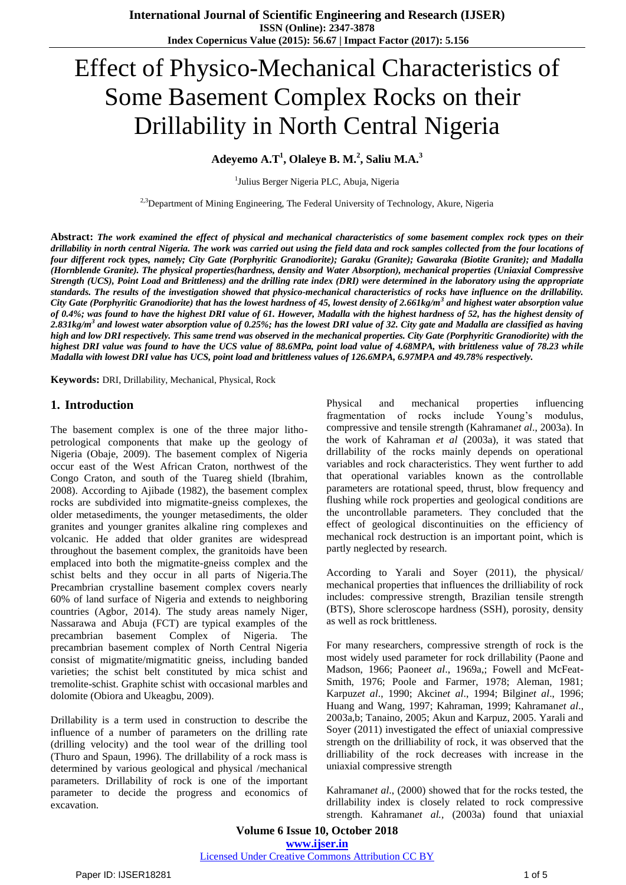# Effect of Physico-Mechanical Characteristics of Some Basement Complex Rocks on their Drillability in North Central Nigeria

**<sup>1</sup> <sup>2</sup> <sup>3</sup> Adeyemo A.T , Olaleye B. M. , Saliu M.A.**

<sup>1</sup>Julius Berger Nigeria PLC, Abuja, Nigeria

<sup>2,3</sup>Department of Mining Engineering, The Federal University of Technology, Akure, Nigeria

**Abstract:** *The work examined the effect of physical and mechanical characteristics of some basement complex rock types on their drillability in north central Nigeria. The work was carried out using the field data and rock samples collected from the four locations of four different rock types, namely; City Gate (Porphyritic Granodiorite); Garaku (Granite); Gawaraka (Biotite Granite); and Madalla (Hornblende Granite). The physical properties(hardness, density and Water Absorption), mechanical properties (Uniaxial Compressive Strength (UCS), Point Load and Brittleness) and the drilling rate index (DRI) were determined in the laboratory using the appropriate standards. The results of the investigation showed that physico-mechanical characteristics of rocks have influence on the drillability. City Gate (Porphyritic Granodiorite) that has the lowest hardness of 45, lowest density of 2.661kg/m<sup>3</sup> and highest water absorption value of 0.4%; was found to have the highest DRI value of 61. However, Madalla with the highest hardness of 52, has the highest density of 3 2.831kg/m and lowest water absorption value of 0.25%; has the lowest DRI value of 32. City gate and Madalla are classified as having high and low DRI respectively. This same trend was observed in the mechanical properties. City Gate (Porphyritic Granodiorite) with the highest DRI value was found to have the UCS value of 88.6MPa, point load value of 4.68MPA, with brittleness value of 78.23 while Madalla with lowest DRI value has UCS, point load and brittleness values of 126.6MPA, 6.97MPA and 49.78% respectively.*

**Keywords:** DRI, Drillability, Mechanical, Physical, Rock

# **1. Introduction**

The basement complex is one of the three major lithopetrological components that make up the geology of Nigeria (Obaje, 2009). The basement complex of Nigeria occur east of the West African Craton, northwest of the Congo Craton, and south of the Tuareg shield (Ibrahim, 2008). According to Ajibade (1982), the basement complex rocks are subdivided into migmatite-gneiss complexes, the older metasediments, the younger metasediments, the older granites and younger granites alkaline ring complexes and volcanic. He added that older granites are widespread throughout the basement complex, the granitoids have been emplaced into both the migmatite-gneiss complex and the schist belts and they occur in all parts of Nigeria.The Precambrian crystalline basement complex covers nearly 60% of land surface of Nigeria and extends to neighboring countries (Agbor, 2014). The study areas namely Niger, Nassarawa and Abuja (FCT) are typical examples of the precambrian basement Complex of Nigeria. The precambrian basement complex of North Central Nigeria consist of migmatite/migmatitic gneiss, including banded varieties; the schist belt constituted by mica schist and tremolite-schist. Graphite schist with occasional marbles and dolomite (Obiora and Ukeagbu, 2009).

Drillability is a term used in construction to describe the influence of a number of parameters on the drilling rate (drilling velocity) and the tool wear of the drilling tool (Thuro and Spaun, 1996). The drillability of a rock mass is determined by various geological and physical /mechanical parameters. Drillability of rock is one of the important parameter to decide the progress and economics of excavation.

Physical and mechanical properties influencing fragmentation of rocks include Young's modulus, compressive and tensile strength (Kahraman*et al*., 2003a). In the work of Kahraman *et al* (2003a), it was stated that drillability of the rocks mainly depends on operational variables and rock characteristics. They went further to add that operational variables known as the controllable parameters are rotational speed, thrust, blow frequency and flushing while rock properties and geological conditions are the uncontrollable parameters. They concluded that the effect of geological discontinuities on the efficiency of mechanical rock destruction is an important point, which is partly neglected by research.

According to Yarali and Soyer (2011), the physical/ mechanical properties that influences the drilliability of rock includes: compressive strength, Brazilian tensile strength (BTS), Shore scleroscope hardness (SSH), porosity, density as well as rock brittleness.

For many researchers, compressive strength of rock is the most widely used parameter for rock drillability (Paone and Madson, 1966; Paone*et al*., 1969a,; Fowell and McFeat-Smith, 1976; Poole and Farmer, 1978; Aleman, 1981; Karpuz*et al*., 1990; Akcin*et al*., 1994; Bilgin*et al*., 1996; Huang and Wang, 1997; Kahraman, 1999; Kahraman*et al*., 2003a,b; Tanaino, 2005; Akun and Karpuz, 2005. Yarali and Soyer (2011) investigated the effect of uniaxial compressive strength on the drilliability of rock, it was observed that the drilliability of the rock decreases with increase in the uniaxial compressive strength

Kahraman*et al*., (2000) showed that for the rocks tested, the drillability index is closely related to rock compressive strength. Kahraman*et al.,* (2003a) found that uniaxial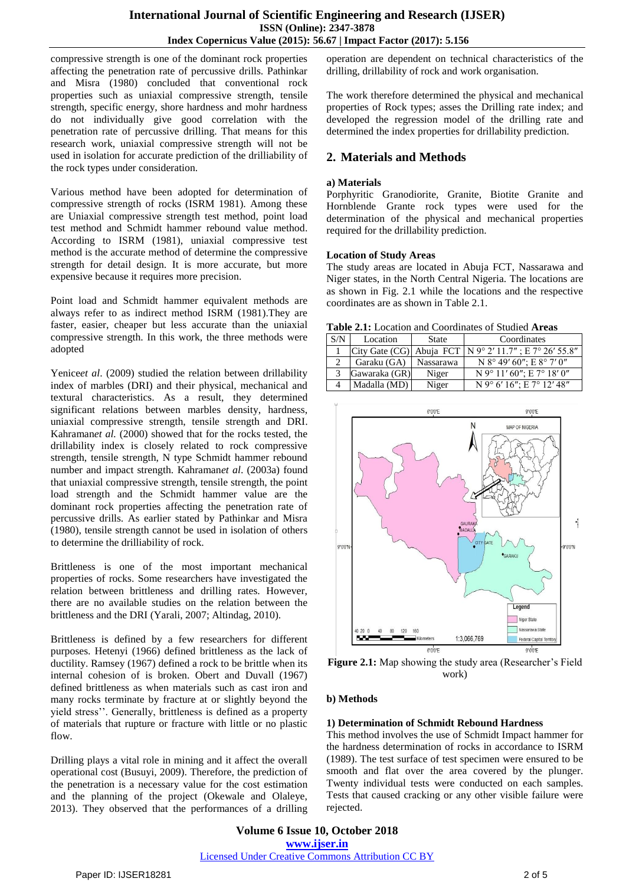compressive strength is one of the dominant rock properties affecting the penetration rate of percussive drills. Pathinkar and Misra (1980) concluded that conventional rock properties such as uniaxial compressive strength, tensile strength, specific energy, shore hardness and mohr hardness do not individually give good correlation with the penetration rate of percussive drilling. That means for this research work, uniaxial compressive strength will not be used in isolation for accurate prediction of the drilliability of the rock types under consideration.

Various method have been adopted for determination of compressive strength of rocks (ISRM 1981). Among these are Uniaxial compressive strength test method, point load test method and Schmidt hammer rebound value method. According to ISRM (1981), uniaxial compressive test method is the accurate method of determine the compressive strength for detail design. It is more accurate, but more expensive because it requires more precision.

Point load and Schmidt hammer equivalent methods are always refer to as indirect method ISRM (1981).They are faster, easier, cheaper but less accurate than the uniaxial compressive strength. In this work, the three methods were adopted

Yenice*et al*. (2009) studied the relation between drillability index of marbles (DRI) and their physical, mechanical and textural characteristics. As a result, they determined significant relations between marbles density, hardness, uniaxial compressive strength, tensile strength and DRI. Kahraman*et al.* (2000) showed that for the rocks tested, the drillability index is closely related to rock compressive strength, tensile strength, N type Schmidt hammer rebound number and impact strength. Kahraman*et al*. (2003a) found that uniaxial compressive strength, tensile strength, the point load strength and the Schmidt hammer value are the dominant rock properties affecting the penetration rate of percussive drills. As earlier stated by Pathinkar and Misra (1980), tensile strength cannot be used in isolation of others to determine the drilliability of rock.

Brittleness is one of the most important mechanical properties of rocks. Some researchers have investigated the relation between brittleness and drilling rates. However, there are no available studies on the relation between the brittleness and the DRI (Yarali, 2007; Altindag, 2010).

Brittleness is defined by a few researchers for different purposes. Hetenyi (1966) defined brittleness as the lack of ductility. Ramsey (1967) defined a rock to be brittle when its internal cohesion of is broken. Obert and Duvall (1967) defined brittleness as when materials such as cast iron and many rocks terminate by fracture at or slightly beyond the yield stress''. Generally, brittleness is defined as a property of materials that rupture or fracture with little or no plastic flow.

Drilling plays a vital role in mining and it affect the overall operational cost (Busuyi, 2009). Therefore, the prediction of the penetration is a necessary value for the cost estimation and the planning of the project (Okewale and Olaleye, 2013). They observed that the performances of a drilling operation are dependent on technical characteristics of the drilling, drillability of rock and work organisation.

The work therefore determined the physical and mechanical properties of Rock types; asses the Drilling rate index; and developed the regression model of the drilling rate and determined the index properties for drillability prediction.

# **2. Materials and Methods**

#### **a) Materials**

Porphyritic Granodiorite, Granite, Biotite Granite and Hornblende Grante rock types were used for the determination of the physical and mechanical properties required for the drillability prediction.

#### **Location of Study Areas**

The study areas are located in Abuja FCT, Nassarawa and Niger states, in the North Central Nigeria. The locations are as shown in Fig. 2.1 while the locations and the respective coordinates are as shown in Table 2.1.

**Table 2.1:** Location and Coordinates of Studied **Areas**

| S/N | Location      | State     | Coordinates                                                |
|-----|---------------|-----------|------------------------------------------------------------|
|     |               |           | City Gate (CG)   Abuja FCT   N 9° 2' 11.7"; E 7° 26' 55.8" |
|     | Garaku (GA)   | Nassarawa | N $8^{\circ}$ 49' 60"; E $8^{\circ}$ 7' 0"                 |
|     | Gawaraka (GR) | Niger     | $N$ 9° 11' 60": E 7° 18' 0"                                |
|     | Madalla (MD)  | Niger     | N 9° 6' 16": E 7° 12' 48"                                  |



**Figure 2.1:** Map showing the study area (Researcher's Field work)

# **b) Methods**

# **1) Determination of Schmidt Rebound Hardness**

This method involves the use of Schmidt Impact hammer for the hardness determination of rocks in accordance to ISRM (1989). The test surface of test specimen were ensured to be smooth and flat over the area covered by the plunger. Twenty individual tests were conducted on each samples. Tests that caused cracking or any other visible failure were rejected.

**Volume 6 Issue 10, October 2018 www.ijser.in** Licensed Under Creative Commons Attribution CC BY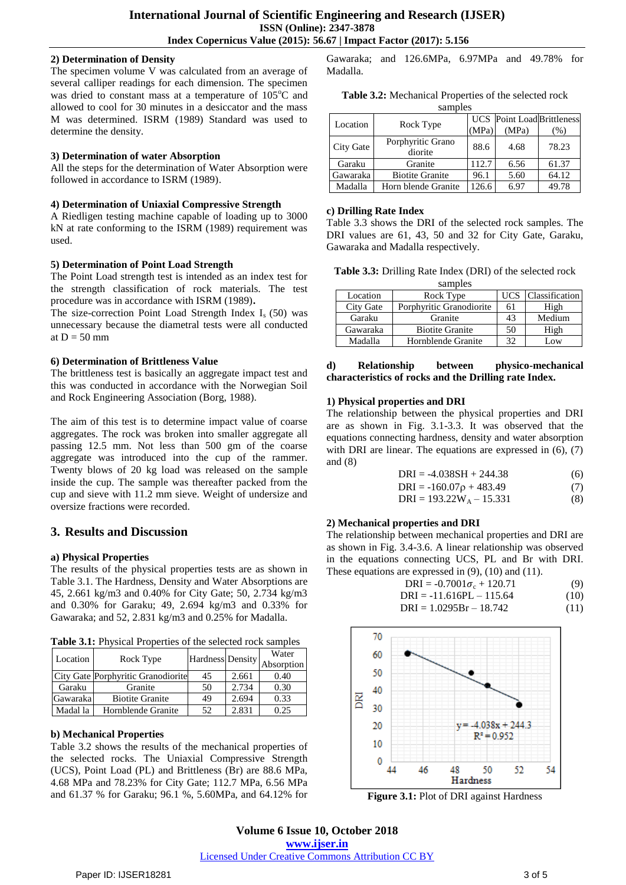#### **2) Determination of Density**

The specimen volume V was calculated from an average of several calliper readings for each dimension. The specimen was dried to constant mass at a temperature of  $105^{\circ}$ C and allowed to cool for 30 minutes in a desiccator and the mass M was determined. ISRM (1989) Standard was used to determine the density.

### **3) Determination of water Absorption**

All the steps for the determination of Water Absorption were followed in accordance to ISRM (1989).

#### **4) Determination of Uniaxial Compressive Strength**

A Riedligen testing machine capable of loading up to 3000 kN at rate conforming to the ISRM (1989) requirement was used.

#### **5) Determination of Point Load Strength**

The Point Load strength test is intended as an index test for the strength classification of rock materials. The test procedure was in accordance with ISRM (1989)**.**

The size-correction Point Load Strength Index  $I_s$  (50) was unnecessary because the diametral tests were all conducted at  $D = 50$  mm

#### **6) Determination of Brittleness Value**

The brittleness test is basically an aggregate impact test and this was conducted in accordance with the Norwegian Soil and Rock Engineering Association (Borg, 1988).

The aim of this test is to determine impact value of coarse aggregates. The rock was broken into smaller aggregate all passing 12.5 mm. Not less than 500 gm of the coarse aggregate was introduced into the cup of the rammer. Twenty blows of 20 kg load was released on the sample inside the cup. The sample was thereafter packed from the cup and sieve with 11.2 mm sieve. Weight of undersize and oversize fractions were recorded.

# **3. Results and Discussion**

# **a) Physical Properties**

The results of the physical properties tests are as shown in Table 3.1. The Hardness, Density and Water Absorptions are 45, 2.661 kg/m3 and 0.40% for City Gate; 50, 2.734 kg/m3 and 0.30% for Garaku; 49, 2.694 kg/m3 and 0.33% for Gawaraka; and 52, 2.831 kg/m3 and 0.25% for Madalla.

**Table 3.1:** Physical Properties of the selected rock samples

| Location | Rock Type                          | Hardness Density |       | Water<br>Absorption |
|----------|------------------------------------|------------------|-------|---------------------|
|          | City Gate Porphyritic Granodiorite | 45               | 2.661 | 0.40                |
| Garaku   | Granite                            | 50               | 2.734 | 0.30                |
| Gawaraka | <b>Biotite Granite</b>             | 49               | 2.694 | 0.33                |
| Madal la | Hornblende Granite                 | 52               | 2.831 | 0.25                |

# **b) Mechanical Properties**

Table 3.2 shows the results of the mechanical properties of the selected rocks. The Uniaxial Compressive Strength (UCS), Point Load (PL) and Brittleness (Br) are 88.6 MPa, 4.68 MPa and 78.23% for City Gate; 112.7 MPa, 6.56 MPa and 61.37 % for Garaku; 96.1 %, 5.60MPa, and 64.12% for

Gawaraka; and 126.6MPa, 6.97MPa and 49.78% for Madalla.

| samples   |                              |       |                                   |        |  |  |
|-----------|------------------------------|-------|-----------------------------------|--------|--|--|
| Location  | Rock Type                    |       | <b>UCS</b> Point Load Brittleness |        |  |  |
|           |                              | (MPa) | (MPa)                             | $(\%)$ |  |  |
| City Gate | Porphyritic Grano<br>diorite | 88.6  | 4.68                              | 78.23  |  |  |
| Garaku    | Granite                      | 112.7 | 6.56                              | 61.37  |  |  |
| Gawaraka  | <b>Biotite Granite</b>       | 96.1  | 5.60                              | 64.12  |  |  |
| Madalla   | Horn blende Granite          | 126.6 | 6.97                              | 49.78  |  |  |

#### **c) Drilling Rate Index**

Table 3.3 shows the DRI of the selected rock samples. The DRI values are 61, 43, 50 and 32 for City Gate, Garaku, Gawaraka and Madalla respectively.

**Table 3.3:** Drilling Rate Index (DRI) of the selected rock samples

| salides   |                          |            |                       |  |  |  |
|-----------|--------------------------|------------|-----------------------|--|--|--|
| Location  | Rock Type                | <b>UCS</b> | <b>Classification</b> |  |  |  |
| City Gate | Porphyritic Granodiorite | 61         | High                  |  |  |  |
| Garaku    | Granite                  | 43         | Medium                |  |  |  |
| Gawaraka  | <b>Biotite Granite</b>   | 50         | High                  |  |  |  |
| Madalla   | Hornblende Granite       | 32         | Low                   |  |  |  |

#### **d) Relationship between physico-mechanical characteristics of rocks and the Drilling rate Index.**

# **1) Physical properties and DRI**

The relationship between the physical properties and DRI are as shown in Fig. 3.1-3.3. It was observed that the equations connecting hardness, density and water absorption with DRI are linear. The equations are expressed in  $(6)$ ,  $(7)$ and (8)

| (6) |
|-----|
|     |

$$
DRI = -160.07\rho + 483.49\tag{7}
$$

$$
DRI = 193.22W_A - 15.331
$$
 (8)

# **2) Mechanical properties and DRI**

The relationship between mechanical properties and DRI are as shown in Fig. 3.4-3.6. A linear relationship was observed in the equations connecting UCS, PL and Br with DRI. These equations are expressed in (9), (10) and (11).

$$
DRI = -0.7001\sigma_c + 120.71
$$
 (9)  
DRI = -11.616PL - 115.64 (10)  
DPI = 1.0205P<sub>r</sub> - 18.742 (11)

$$
DRI = 1.0295Br - 18.742 \tag{11}
$$



**Figure 3.1:** Plot of DRI against Hardness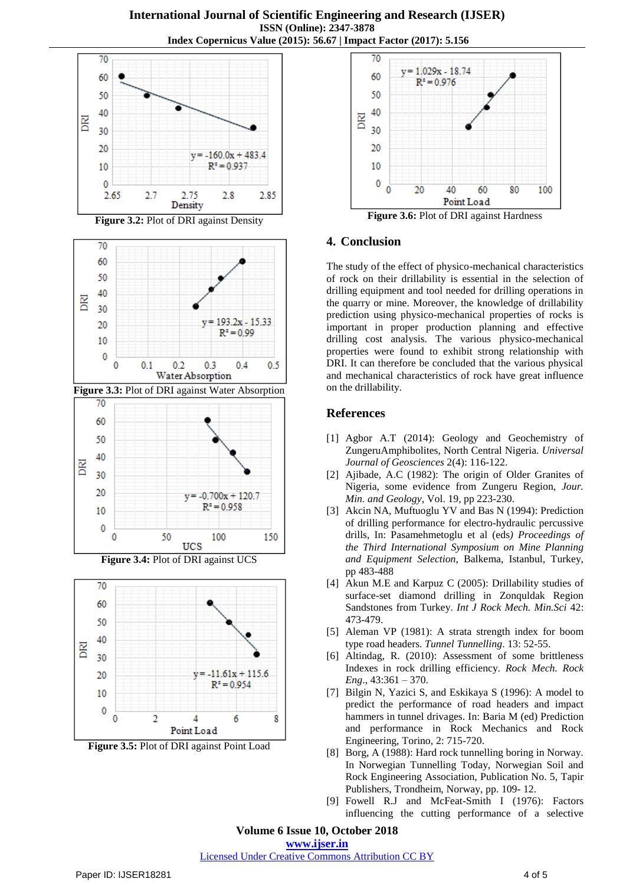

**Figure 3.2:** Plot of DRI against Density



**Figure 3.3:** Plot of DRI against Water Absorption



**Figure 3.4:** Plot of DRI against UCS



**Figure 3.5:** Plot of DRI against Point Load



**Figure 3.6:** Plot of DRI against Hardness

# **4. Conclusion**

The study of the effect of physico-mechanical characteristics of rock on their drillability is essential in the selection of drilling equipment and tool needed for drilling operations in the quarry or mine. Moreover, the knowledge of drillability prediction using physico-mechanical properties of rocks is important in proper production planning and effective drilling cost analysis. The various physico-mechanical properties were found to exhibit strong relationship with DRI. It can therefore be concluded that the various physical and mechanical characteristics of rock have great influence on the drillability.

# **References**

- [1] Agbor A.T (2014): Geology and Geochemistry of ZungeruAmphibolites, North Central Nigeria. *Universal Journal of Geosciences* 2(4): 116-122.
- [2] Ajibade, A.C (1982): The origin of Older Granites of Nigeria, some evidence from Zungeru Region, *Jour. Min. and Geology*, Vol. 19, pp 223-230.
- [3] Akcin NA, Muftuoglu YV and Bas N (1994): Prediction of drilling performance for electro-hydraulic percussive drills, In: Pasamehmetoglu et al (eds*) Proceedings of the Third International Symposium on Mine Planning and Equipment Selection*, Balkema, Istanbul, Turkey, pp 483-488
- [4] Akun M.E and Karpuz C (2005): Drillability studies of surface-set diamond drilling in Zonquldak Region Sandstones from Turkey. *Int J Rock Mech. Min.Sci* 42: 473-479.
- [5] Aleman VP (1981): A strata strength index for boom type road headers. *Tunnel Tunnelling*. 13: 52-55.
- [6] Altindag, R. (2010): Assessment of some brittleness Indexes in rock drilling efficiency. *Rock Mech. Rock Eng*., 43:361 – 370.
- [7] Bilgin N, Yazici S, and Eskikaya S (1996): A model to predict the performance of road headers and impact hammers in tunnel drivages. In: Baria M (ed) Prediction and performance in Rock Mechanics and Rock Engineering, Torino, 2: 715-720.
- [8] Borg, A (1988): Hard rock tunnelling boring in Norway. In Norwegian Tunnelling Today, Norwegian Soil and Rock Engineering Association, Publication No. 5, Tapir Publishers, Trondheim, Norway, pp. 109- 12.
- [9] Fowell R.J and McFeat-Smith I (1976): Factors influencing the cutting performance of a selective

**Volume 6 Issue 10, October 2018**

**www.ijser.in**

Licensed Under Creative Commons Attribution CC BY